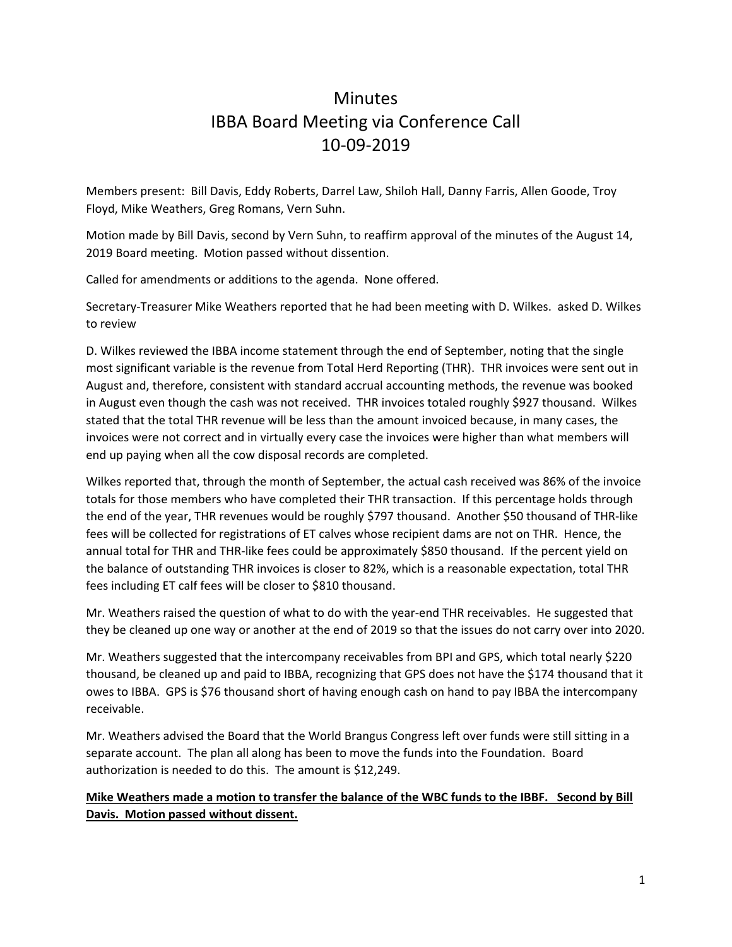# **Minutes** IBBA Board Meeting via Conference Call 10‐09‐2019

Members present: Bill Davis, Eddy Roberts, Darrel Law, Shiloh Hall, Danny Farris, Allen Goode, Troy Floyd, Mike Weathers, Greg Romans, Vern Suhn.

Motion made by Bill Davis, second by Vern Suhn, to reaffirm approval of the minutes of the August 14, 2019 Board meeting. Motion passed without dissention.

Called for amendments or additions to the agenda. None offered.

Secretary‐Treasurer Mike Weathers reported that he had been meeting with D. Wilkes. asked D. Wilkes to review

D. Wilkes reviewed the IBBA income statement through the end of September, noting that the single most significant variable is the revenue from Total Herd Reporting (THR). THR invoices were sent out in August and, therefore, consistent with standard accrual accounting methods, the revenue was booked in August even though the cash was not received. THR invoices totaled roughly \$927 thousand. Wilkes stated that the total THR revenue will be less than the amount invoiced because, in many cases, the invoices were not correct and in virtually every case the invoices were higher than what members will end up paying when all the cow disposal records are completed.

Wilkes reported that, through the month of September, the actual cash received was 86% of the invoice totals for those members who have completed their THR transaction. If this percentage holds through the end of the year, THR revenues would be roughly \$797 thousand. Another \$50 thousand of THR‐like fees will be collected for registrations of ET calves whose recipient dams are not on THR. Hence, the annual total for THR and THR‐like fees could be approximately \$850 thousand. If the percent yield on the balance of outstanding THR invoices is closer to 82%, which is a reasonable expectation, total THR fees including ET calf fees will be closer to \$810 thousand.

Mr. Weathers raised the question of what to do with the year-end THR receivables. He suggested that they be cleaned up one way or another at the end of 2019 so that the issues do not carry over into 2020.

Mr. Weathers suggested that the intercompany receivables from BPI and GPS, which total nearly \$220 thousand, be cleaned up and paid to IBBA, recognizing that GPS does not have the \$174 thousand that it owes to IBBA. GPS is \$76 thousand short of having enough cash on hand to pay IBBA the intercompany receivable.

Mr. Weathers advised the Board that the World Brangus Congress left over funds were still sitting in a separate account. The plan all along has been to move the funds into the Foundation. Board authorization is needed to do this. The amount is \$12,249.

#### Mike Weathers made a motion to transfer the balance of the WBC funds to the IBBF. Second by Bill **Davis. Motion passed without dissent.**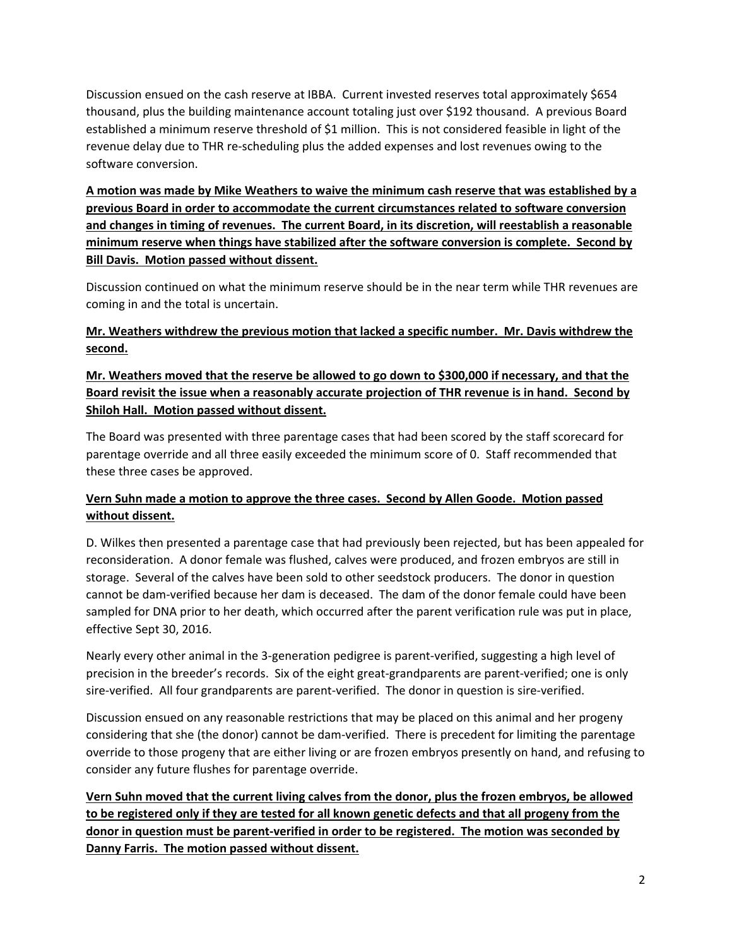Discussion ensued on the cash reserve at IBBA. Current invested reserves total approximately \$654 thousand, plus the building maintenance account totaling just over \$192 thousand. A previous Board established a minimum reserve threshold of \$1 million. This is not considered feasible in light of the revenue delay due to THR re‐scheduling plus the added expenses and lost revenues owing to the software conversion.

**A motion was made by Mike Weathers to waive the minimum cash reserve that was established by a previous Board in order to accommodate the current circumstances related to software conversion and changes in timing of revenues. The current Board, in its discretion, will reestablish a reasonable minimum reserve when things have stabilized after the software conversion is complete. Second by Bill Davis. Motion passed without dissent.**

Discussion continued on what the minimum reserve should be in the near term while THR revenues are coming in and the total is uncertain.

#### **Mr. Weathers withdrew the previous motion that lacked a specific number. Mr. Davis withdrew the second.**

### **Mr. Weathers moved that the reserve be allowed to go down to \$300,000 if necessary, and that the** Board revisit the issue when a reasonably accurate projection of THR revenue is in hand. Second by **Shiloh Hall. Motion passed without dissent.**

The Board was presented with three parentage cases that had been scored by the staff scorecard for parentage override and all three easily exceeded the minimum score of 0. Staff recommended that these three cases be approved.

## **Vern Suhn made a motion to approve the three cases. Second by Allen Goode. Motion passed without dissent.**

D. Wilkes then presented a parentage case that had previously been rejected, but has been appealed for reconsideration. A donor female was flushed, calves were produced, and frozen embryos are still in storage. Several of the calves have been sold to other seedstock producers. The donor in question cannot be dam‐verified because her dam is deceased. The dam of the donor female could have been sampled for DNA prior to her death, which occurred after the parent verification rule was put in place, effective Sept 30, 2016.

Nearly every other animal in the 3‐generation pedigree is parent‐verified, suggesting a high level of precision in the breeder's records. Six of the eight great-grandparents are parent-verified; one is only sire-verified. All four grandparents are parent-verified. The donor in question is sire-verified.

Discussion ensued on any reasonable restrictions that may be placed on this animal and her progeny considering that she (the donor) cannot be dam‐verified. There is precedent for limiting the parentage override to those progeny that are either living or are frozen embryos presently on hand, and refusing to consider any future flushes for parentage override.

**Vern Suhn moved that the current living calves from the donor, plus the frozen embryos, be allowed** to be registered only if they are tested for all known genetic defects and that all progeny from the donor in question must be parent-verified in order to be registered. The motion was seconded by **Danny Farris. The motion passed without dissent.**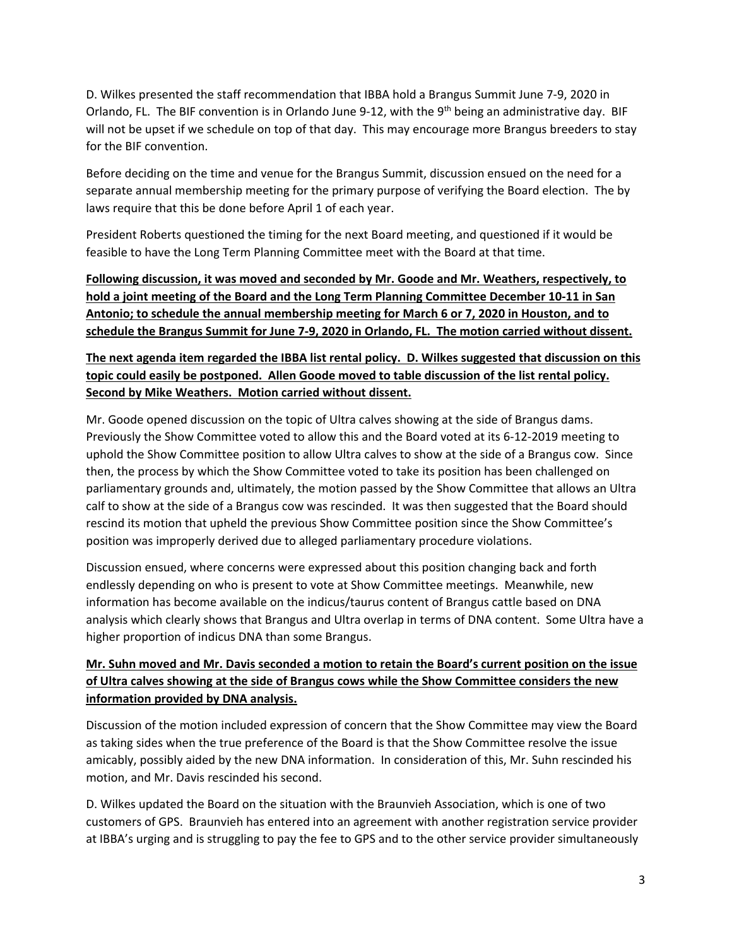D. Wilkes presented the staff recommendation that IBBA hold a Brangus Summit June 7‐9, 2020 in Orlando, FL. The BIF convention is in Orlando June 9-12, with the 9<sup>th</sup> being an administrative day. BIF will not be upset if we schedule on top of that day. This may encourage more Brangus breeders to stay for the BIF convention.

Before deciding on the time and venue for the Brangus Summit, discussion ensued on the need for a separate annual membership meeting for the primary purpose of verifying the Board election. The by laws require that this be done before April 1 of each year.

President Roberts questioned the timing for the next Board meeting, and questioned if it would be feasible to have the Long Term Planning Committee meet with the Board at that time.

**Following discussion, it was moved and seconded by Mr. Goode and Mr. Weathers, respectively, to** hold a joint meeting of the Board and the Long Term Planning Committee December 10-11 in San **Antonio; to schedule the annual membership meeting for March 6 or 7, 2020 in Houston, and to** schedule the Brangus Summit for June 7-9, 2020 in Orlando, FL. The motion carried without dissent.

## The next agenda item regarded the IBBA list rental policy. D. Wilkes suggested that discussion on this topic could easily be postponed. Allen Goode moved to table discussion of the list rental policy. **Second by Mike Weathers. Motion carried without dissent.**

Mr. Goode opened discussion on the topic of Ultra calves showing at the side of Brangus dams. Previously the Show Committee voted to allow this and the Board voted at its 6‐12‐2019 meeting to uphold the Show Committee position to allow Ultra calves to show at the side of a Brangus cow. Since then, the process by which the Show Committee voted to take its position has been challenged on parliamentary grounds and, ultimately, the motion passed by the Show Committee that allows an Ultra calf to show at the side of a Brangus cow was rescinded. It was then suggested that the Board should rescind its motion that upheld the previous Show Committee position since the Show Committee's position was improperly derived due to alleged parliamentary procedure violations.

Discussion ensued, where concerns were expressed about this position changing back and forth endlessly depending on who is present to vote at Show Committee meetings. Meanwhile, new information has become available on the indicus/taurus content of Brangus cattle based on DNA analysis which clearly shows that Brangus and Ultra overlap in terms of DNA content. Some Ultra have a higher proportion of indicus DNA than some Brangus.

## **Mr. Suhn moved and Mr. Davis seconded a motion to retain the Board's current position on the issue of Ultra calves showing at the side of Brangus cows while the Show Committee considers the new information provided by DNA analysis.**

Discussion of the motion included expression of concern that the Show Committee may view the Board as taking sides when the true preference of the Board is that the Show Committee resolve the issue amicably, possibly aided by the new DNA information. In consideration of this, Mr. Suhn rescinded his motion, and Mr. Davis rescinded his second.

D. Wilkes updated the Board on the situation with the Braunvieh Association, which is one of two customers of GPS. Braunvieh has entered into an agreement with another registration service provider at IBBA's urging and is struggling to pay the fee to GPS and to the other service provider simultaneously